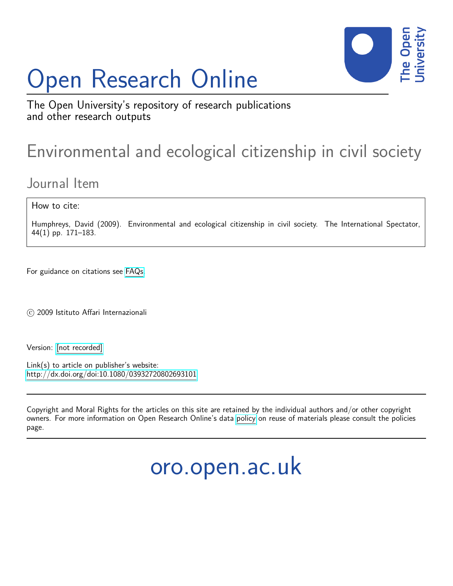# Open Research Online



The Open University's repository of research publications and other research outputs

# Environmental and ecological citizenship in civil society

## Journal Item

#### How to cite:

Humphreys, David (2009). Environmental and ecological citizenship in civil society. The International Spectator, 44(1) pp. 171–183.

For guidance on citations see [FAQs.](http://oro.open.ac.uk/help/helpfaq.html)

 $\circ$  2009 Istituto Affari Internazionali

Version: [\[not recorded\]](http://oro.open.ac.uk/help/helpfaq.html#Unrecorded_information_on_coversheet)

Link(s) to article on publisher's website: <http://dx.doi.org/doi:10.1080/03932720802693101>

Copyright and Moral Rights for the articles on this site are retained by the individual authors and/or other copyright owners. For more information on Open Research Online's data [policy](http://oro.open.ac.uk/policies.html) on reuse of materials please consult the policies page.

oro.open.ac.uk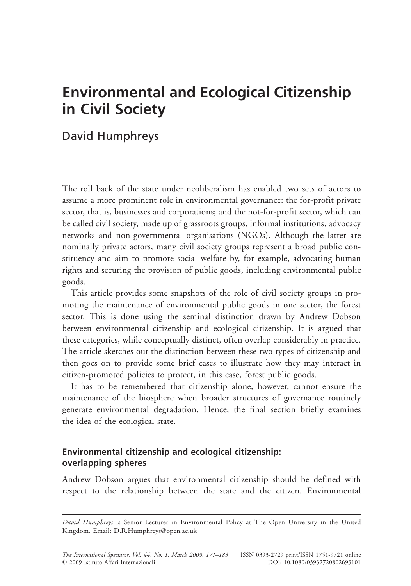### Environmental and Ecological Citizenship in Civil Society

#### David Humphreys

The roll back of the state under neoliberalism has enabled two sets of actors to assume a more prominent role in environmental governance: the for-profit private sector, that is, businesses and corporations; and the not-for-profit sector, which can be called civil society, made up of grassroots groups, informal institutions, advocacy networks and non-governmental organisations (NGOs). Although the latter are nominally private actors, many civil society groups represent a broad public constituency and aim to promote social welfare by, for example, advocating human rights and securing the provision of public goods, including environmental public goods.

This article provides some snapshots of the role of civil society groups in promoting the maintenance of environmental public goods in one sector, the forest sector. This is done using the seminal distinction drawn by Andrew Dobson between environmental citizenship and ecological citizenship. It is argued that these categories, while conceptually distinct, often overlap considerably in practice. The article sketches out the distinction between these two types of citizenship and then goes on to provide some brief cases to illustrate how they may interact in citizen-promoted policies to protect, in this case, forest public goods.

It has to be remembered that citizenship alone, however, cannot ensure the maintenance of the biosphere when broader structures of governance routinely generate environmental degradation. Hence, the final section briefly examines the idea of the ecological state.

#### Environmental citizenship and ecological citizenship: overlapping spheres

Andrew Dobson argues that environmental citizenship should be defined with respect to the relationship between the state and the citizen. Environmental

David Humphreys is Senior Lecturer in Environmental Policy at The Open University in the United Kingdom. Email: D.R.Humphreys@open.ac.uk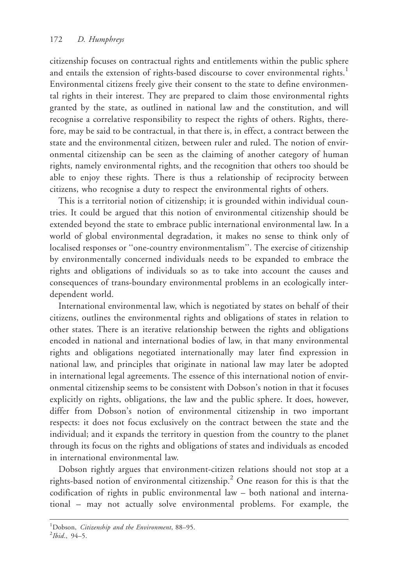citizenship focuses on contractual rights and entitlements within the public sphere and entails the extension of rights-based discourse to cover environmental rights.<sup>1</sup> Environmental citizens freely give their consent to the state to define environmental rights in their interest. They are prepared to claim those environmental rights granted by the state, as outlined in national law and the constitution, and will recognise a correlative responsibility to respect the rights of others. Rights, therefore, may be said to be contractual, in that there is, in effect, a contract between the state and the environmental citizen, between ruler and ruled. The notion of environmental citizenship can be seen as the claiming of another category of human rights, namely environmental rights, and the recognition that others too should be able to enjoy these rights. There is thus a relationship of reciprocity between citizens, who recognise a duty to respect the environmental rights of others.

This is a territorial notion of citizenship; it is grounded within individual countries. It could be argued that this notion of environmental citizenship should be extended beyond the state to embrace public international environmental law. In a world of global environmental degradation, it makes no sense to think only of localised responses or ''one-country environmentalism''. The exercise of citizenship by environmentally concerned individuals needs to be expanded to embrace the rights and obligations of individuals so as to take into account the causes and consequences of trans-boundary environmental problems in an ecologically interdependent world.

International environmental law, which is negotiated by states on behalf of their citizens, outlines the environmental rights and obligations of states in relation to other states. There is an iterative relationship between the rights and obligations encoded in national and international bodies of law, in that many environmental rights and obligations negotiated internationally may later find expression in national law, and principles that originate in national law may later be adopted in international legal agreements. The essence of this international notion of environmental citizenship seems to be consistent with Dobson's notion in that it focuses explicitly on rights, obligations, the law and the public sphere. It does, however, differ from Dobson's notion of environmental citizenship in two important respects: it does not focus exclusively on the contract between the state and the individual; and it expands the territory in question from the country to the planet through its focus on the rights and obligations of states and individuals as encoded in international environmental law.

Dobson rightly argues that environment-citizen relations should not stop at a rights-based notion of environmental citizenship.<sup>2</sup> One reason for this is that the codification of rights in public environmental law – both national and international – may not actually solve environmental problems. For example, the

<sup>&</sup>lt;sup>1</sup>Dobson, *Citizenship and the Environment*, 88–95.

 $^{2}Ibid., 94-5.$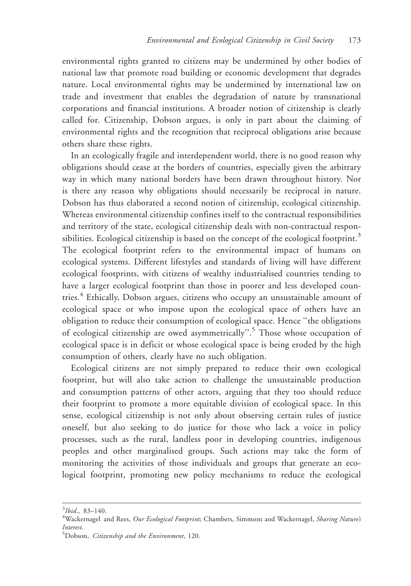environmental rights granted to citizens may be undermined by other bodies of national law that promote road building or economic development that degrades nature. Local environmental rights may be undermined by international law on trade and investment that enables the degradation of nature by transnational corporations and financial institutions. A broader notion of citizenship is clearly called for. Citizenship, Dobson argues, is only in part about the claiming of environmental rights and the recognition that reciprocal obligations arise because others share these rights.

In an ecologically fragile and interdependent world, there is no good reason why obligations should cease at the borders of countries, especially given the arbitrary way in which many national borders have been drawn throughout history. Nor is there any reason why obligations should necessarily be reciprocal in nature. Dobson has thus elaborated a second notion of citizenship, ecological citizenship. Whereas environmental citizenship confines itself to the contractual responsibilities and territory of the state, ecological citizenship deals with non-contractual responsibilities. Ecological citizenship is based on the concept of the ecological footprint.<sup>3</sup> The ecological footprint refers to the environmental impact of humans on ecological systems. Different lifestyles and standards of living will have different ecological footprints, with citizens of wealthy industrialised countries tending to have a larger ecological footprint than those in poorer and less developed countries.<sup>4</sup> Ethically, Dobson argues, citizens who occupy an unsustainable amount of ecological space or who impose upon the ecological space of others have an obligation to reduce their consumption of ecological space. Hence ''the obligations of ecological citizenship are owed asymmetrically''.<sup>5</sup> Those whose occupation of ecological space is in deficit or whose ecological space is being eroded by the high consumption of others, clearly have no such obligation.

Ecological citizens are not simply prepared to reduce their own ecological footprint, but will also take action to challenge the unsustainable production and consumption patterns of other actors, arguing that they too should reduce their footprint to promote a more equitable division of ecological space. In this sense, ecological citizenship is not only about observing certain rules of justice oneself, but also seeking to do justice for those who lack a voice in policy processes, such as the rural, landless poor in developing countries, indigenous peoples and other marginalised groups. Such actions may take the form of monitoring the activities of those individuals and groups that generate an ecological footprint, promoting new policy mechanisms to reduce the ecological

 $^{3}Ibid., 83-140.$ 

<sup>&</sup>lt;sup>4</sup>Wackernagel and Rees, Our Ecological Footprint; Chambers, Simmons and Wackernagel, Sharing Nature's Interest.

 $5$ Dobson, *Citizenship and the Environment*, 120.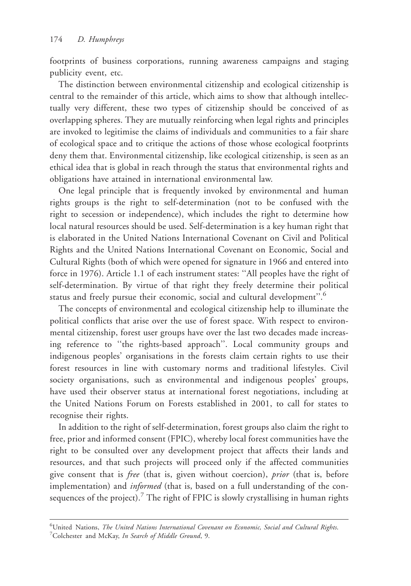footprints of business corporations, running awareness campaigns and staging publicity event, etc.

The distinction between environmental citizenship and ecological citizenship is central to the remainder of this article, which aims to show that although intellectually very different, these two types of citizenship should be conceived of as overlapping spheres. They are mutually reinforcing when legal rights and principles are invoked to legitimise the claims of individuals and communities to a fair share of ecological space and to critique the actions of those whose ecological footprints deny them that. Environmental citizenship, like ecological citizenship, is seen as an ethical idea that is global in reach through the status that environmental rights and obligations have attained in international environmental law.

One legal principle that is frequently invoked by environmental and human rights groups is the right to self-determination (not to be confused with the right to secession or independence), which includes the right to determine how local natural resources should be used. Self-determination is a key human right that is elaborated in the United Nations International Covenant on Civil and Political Rights and the United Nations International Covenant on Economic, Social and Cultural Rights (both of which were opened for signature in 1966 and entered into force in 1976). Article 1.1 of each instrument states: ''All peoples have the right of self-determination. By virtue of that right they freely determine their political status and freely pursue their economic, social and cultural development".<sup>6</sup>

The concepts of environmental and ecological citizenship help to illuminate the political conflicts that arise over the use of forest space. With respect to environmental citizenship, forest user groups have over the last two decades made increasing reference to ''the rights-based approach''. Local community groups and indigenous peoples' organisations in the forests claim certain rights to use their forest resources in line with customary norms and traditional lifestyles. Civil society organisations, such as environmental and indigenous peoples' groups, have used their observer status at international forest negotiations, including at the United Nations Forum on Forests established in 2001, to call for states to recognise their rights.

In addition to the right of self-determination, forest groups also claim the right to free, prior and informed consent (FPIC), whereby local forest communities have the right to be consulted over any development project that affects their lands and resources, and that such projects will proceed only if the affected communities give consent that is *free* (that is, given without coercion), *prior* (that is, before implementation) and *informed* (that is, based on a full understanding of the consequences of the project).<sup>7</sup> The right of FPIC is slowly crystallising in human rights

<sup>&</sup>lt;sup>6</sup>United Nations, *The United Nations International Covenant on Economic, Social and Cultural Rights.*<br><sup>7</sup>Colchaster and McKoy In Search of Middle Cround 9

 $^7$ Colchester and McKay, In Search of Middle Ground, 9.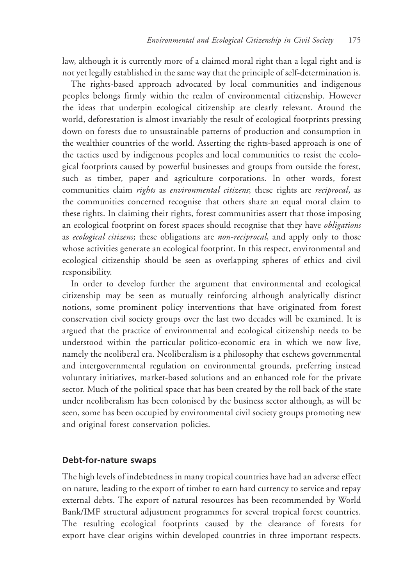law, although it is currently more of a claimed moral right than a legal right and is not yet legally established in the same way that the principle of self-determination is.

The rights-based approach advocated by local communities and indigenous peoples belongs firmly within the realm of environmental citizenship. However the ideas that underpin ecological citizenship are clearly relevant. Around the world, deforestation is almost invariably the result of ecological footprints pressing down on forests due to unsustainable patterns of production and consumption in the wealthier countries of the world. Asserting the rights-based approach is one of the tactics used by indigenous peoples and local communities to resist the ecological footprints caused by powerful businesses and groups from outside the forest, such as timber, paper and agriculture corporations. In other words, forest communities claim rights as environmental citizens; these rights are reciprocal, as the communities concerned recognise that others share an equal moral claim to these rights. In claiming their rights, forest communities assert that those imposing an ecological footprint on forest spaces should recognise that they have *obligations* as ecological citizens; these obligations are non-reciprocal, and apply only to those whose activities generate an ecological footprint. In this respect, environmental and ecological citizenship should be seen as overlapping spheres of ethics and civil responsibility.

In order to develop further the argument that environmental and ecological citizenship may be seen as mutually reinforcing although analytically distinct notions, some prominent policy interventions that have originated from forest conservation civil society groups over the last two decades will be examined. It is argued that the practice of environmental and ecological citizenship needs to be understood within the particular politico-economic era in which we now live, namely the neoliberal era. Neoliberalism is a philosophy that eschews governmental and intergovernmental regulation on environmental grounds, preferring instead voluntary initiatives, market-based solutions and an enhanced role for the private sector. Much of the political space that has been created by the roll back of the state under neoliberalism has been colonised by the business sector although, as will be seen, some has been occupied by environmental civil society groups promoting new and original forest conservation policies.

#### Debt-for-nature swaps

The high levels of indebtedness in many tropical countries have had an adverse effect on nature, leading to the export of timber to earn hard currency to service and repay external debts. The export of natural resources has been recommended by World Bank/IMF structural adjustment programmes for several tropical forest countries. The resulting ecological footprints caused by the clearance of forests for export have clear origins within developed countries in three important respects.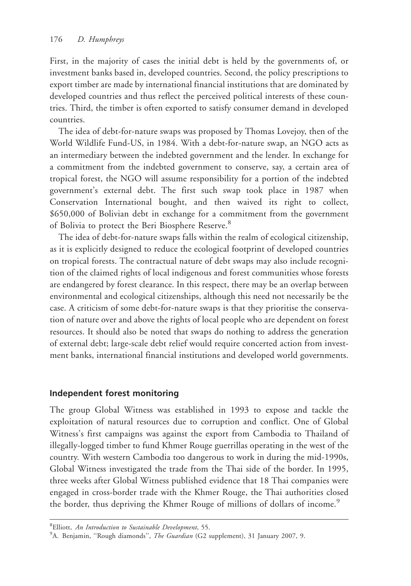First, in the majority of cases the initial debt is held by the governments of, or investment banks based in, developed countries. Second, the policy prescriptions to export timber are made by international financial institutions that are dominated by developed countries and thus reflect the perceived political interests of these countries. Third, the timber is often exported to satisfy consumer demand in developed countries.

The idea of debt-for-nature swaps was proposed by Thomas Lovejoy, then of the World Wildlife Fund-US, in 1984. With a debt-for-nature swap, an NGO acts as an intermediary between the indebted government and the lender. In exchange for a commitment from the indebted government to conserve, say, a certain area of tropical forest, the NGO will assume responsibility for a portion of the indebted government's external debt. The first such swap took place in 1987 when Conservation International bought, and then waived its right to collect, \$650,000 of Bolivian debt in exchange for a commitment from the government of Bolivia to protect the Beri Biosphere Reserve.<sup>8</sup>

The idea of debt-for-nature swaps falls within the realm of ecological citizenship, as it is explicitly designed to reduce the ecological footprint of developed countries on tropical forests. The contractual nature of debt swaps may also include recognition of the claimed rights of local indigenous and forest communities whose forests are endangered by forest clearance. In this respect, there may be an overlap between environmental and ecological citizenships, although this need not necessarily be the case. A criticism of some debt-for-nature swaps is that they prioritise the conservation of nature over and above the rights of local people who are dependent on forest resources. It should also be noted that swaps do nothing to address the generation of external debt; large-scale debt relief would require concerted action from investment banks, international financial institutions and developed world governments.

#### Independent forest monitoring

The group Global Witness was established in 1993 to expose and tackle the exploitation of natural resources due to corruption and conflict. One of Global Witness's first campaigns was against the export from Cambodia to Thailand of illegally-logged timber to fund Khmer Rouge guerrillas operating in the west of the country. With western Cambodia too dangerous to work in during the mid-1990s, Global Witness investigated the trade from the Thai side of the border. In 1995, three weeks after Global Witness published evidence that 18 Thai companies were engaged in cross-border trade with the Khmer Rouge, the Thai authorities closed the border, thus depriving the Khmer Rouge of millions of dollars of income.<sup>9</sup>

<sup>&</sup>lt;sup>8</sup> Elliott, An Introduction to Sustainable Development, 55.<br><sup>9</sup> A Benjamin *"Dough diamonds"* The Guardian (C2)

<sup>&</sup>lt;sup>9</sup>A. Benjamin, "Rough diamonds", *The Guardian* (G2 supplement), 31 January 2007, 9.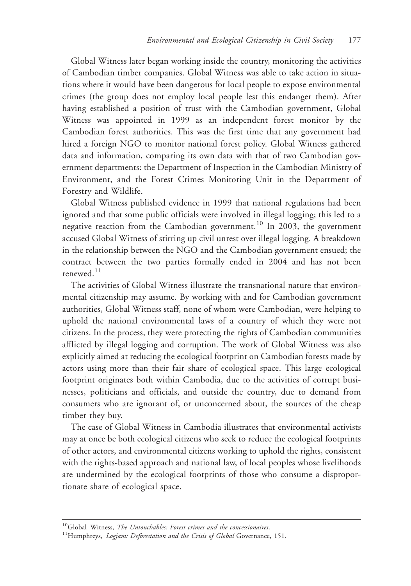Global Witness later began working inside the country, monitoring the activities of Cambodian timber companies. Global Witness was able to take action in situations where it would have been dangerous for local people to expose environmental crimes (the group does not employ local people lest this endanger them). After having established a position of trust with the Cambodian government, Global Witness was appointed in 1999 as an independent forest monitor by the Cambodian forest authorities. This was the first time that any government had hired a foreign NGO to monitor national forest policy. Global Witness gathered data and information, comparing its own data with that of two Cambodian government departments: the Department of Inspection in the Cambodian Ministry of Environment, and the Forest Crimes Monitoring Unit in the Department of Forestry and Wildlife.

Global Witness published evidence in 1999 that national regulations had been ignored and that some public officials were involved in illegal logging; this led to a negative reaction from the Cambodian government.<sup>10</sup> In 2003, the government accused Global Witness of stirring up civil unrest over illegal logging. A breakdown in the relationship between the NGO and the Cambodian government ensued; the contract between the two parties formally ended in 2004 and has not been renewed.<sup>11</sup>

The activities of Global Witness illustrate the transnational nature that environmental citizenship may assume. By working with and for Cambodian government authorities, Global Witness staff, none of whom were Cambodian, were helping to uphold the national environmental laws of a country of which they were not citizens. In the process, they were protecting the rights of Cambodian communities afflicted by illegal logging and corruption. The work of Global Witness was also explicitly aimed at reducing the ecological footprint on Cambodian forests made by actors using more than their fair share of ecological space. This large ecological footprint originates both within Cambodia, due to the activities of corrupt businesses, politicians and officials, and outside the country, due to demand from consumers who are ignorant of, or unconcerned about, the sources of the cheap timber they buy.

The case of Global Witness in Cambodia illustrates that environmental activists may at once be both ecological citizens who seek to reduce the ecological footprints of other actors, and environmental citizens working to uphold the rights, consistent with the rights-based approach and national law, of local peoples whose livelihoods are undermined by the ecological footprints of those who consume a disproportionate share of ecological space.

<sup>&</sup>lt;sup>10</sup>Global Witness, *The Untouchables: Forest crimes and the concessionaires.*  $11$ Humphreys, *Logjam: Deforestation and the Crisis of Global* Governance, 151.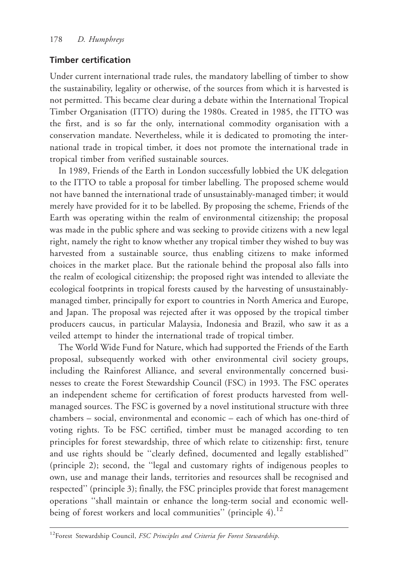#### Timber certification

Under current international trade rules, the mandatory labelling of timber to show the sustainability, legality or otherwise, of the sources from which it is harvested is not permitted. This became clear during a debate within the International Tropical Timber Organisation (ITTO) during the 1980s. Created in 1985, the ITTO was the first, and is so far the only, international commodity organisation with a conservation mandate. Nevertheless, while it is dedicated to promoting the international trade in tropical timber, it does not promote the international trade in tropical timber from verified sustainable sources.

In 1989, Friends of the Earth in London successfully lobbied the UK delegation to the ITTO to table a proposal for timber labelling. The proposed scheme would not have banned the international trade of unsustainably-managed timber; it would merely have provided for it to be labelled. By proposing the scheme, Friends of the Earth was operating within the realm of environmental citizenship; the proposal was made in the public sphere and was seeking to provide citizens with a new legal right, namely the right to know whether any tropical timber they wished to buy was harvested from a sustainable source, thus enabling citizens to make informed choices in the market place. But the rationale behind the proposal also falls into the realm of ecological citizenship; the proposed right was intended to alleviate the ecological footprints in tropical forests caused by the harvesting of unsustainablymanaged timber, principally for export to countries in North America and Europe, and Japan. The proposal was rejected after it was opposed by the tropical timber producers caucus, in particular Malaysia, Indonesia and Brazil, who saw it as a veiled attempt to hinder the international trade of tropical timber.

The World Wide Fund for Nature, which had supported the Friends of the Earth proposal, subsequently worked with other environmental civil society groups, including the Rainforest Alliance, and several environmentally concerned businesses to create the Forest Stewardship Council (FSC) in 1993. The FSC operates an independent scheme for certification of forest products harvested from wellmanaged sources. The FSC is governed by a novel institutional structure with three chambers – social, environmental and economic – each of which has one-third of voting rights. To be FSC certified, timber must be managed according to ten principles for forest stewardship, three of which relate to citizenship: first, tenure and use rights should be ''clearly defined, documented and legally established'' (principle 2); second, the ''legal and customary rights of indigenous peoples to own, use and manage their lands, territories and resources shall be recognised and respected'' (principle 3); finally, the FSC principles provide that forest management operations ''shall maintain or enhance the long-term social and economic wellbeing of forest workers and local communities" (principle 4).<sup>12</sup>

 $12$ Forest Stewardship Council, FSC Principles and Criteria for Forest Stewardship.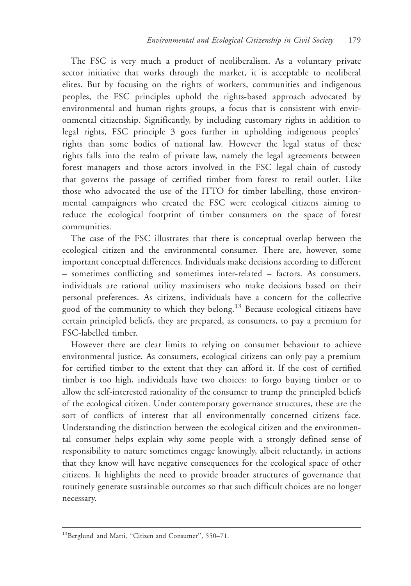The FSC is very much a product of neoliberalism. As a voluntary private sector initiative that works through the market, it is acceptable to neoliberal elites. But by focusing on the rights of workers, communities and indigenous peoples, the FSC principles uphold the rights-based approach advocated by environmental and human rights groups, a focus that is consistent with environmental citizenship. Significantly, by including customary rights in addition to legal rights, FSC principle 3 goes further in upholding indigenous peoples' rights than some bodies of national law. However the legal status of these rights falls into the realm of private law, namely the legal agreements between forest managers and those actors involved in the FSC legal chain of custody that governs the passage of certified timber from forest to retail outlet. Like those who advocated the use of the ITTO for timber labelling, those environmental campaigners who created the FSC were ecological citizens aiming to reduce the ecological footprint of timber consumers on the space of forest communities.

The case of the FSC illustrates that there is conceptual overlap between the ecological citizen and the environmental consumer. There are, however, some important conceptual differences. Individuals make decisions according to different – sometimes conflicting and sometimes inter-related – factors. As consumers, individuals are rational utility maximisers who make decisions based on their personal preferences. As citizens, individuals have a concern for the collective good of the community to which they belong.<sup>13</sup> Because ecological citizens have certain principled beliefs, they are prepared, as consumers, to pay a premium for FSC-labelled timber.

However there are clear limits to relying on consumer behaviour to achieve environmental justice. As consumers, ecological citizens can only pay a premium for certified timber to the extent that they can afford it. If the cost of certified timber is too high, individuals have two choices: to forgo buying timber or to allow the self-interested rationality of the consumer to trump the principled beliefs of the ecological citizen. Under contemporary governance structures, these are the sort of conflicts of interest that all environmentally concerned citizens face. Understanding the distinction between the ecological citizen and the environmental consumer helps explain why some people with a strongly defined sense of responsibility to nature sometimes engage knowingly, albeit reluctantly, in actions that they know will have negative consequences for the ecological space of other citizens. It highlights the need to provide broader structures of governance that routinely generate sustainable outcomes so that such difficult choices are no longer necessary.

<sup>&</sup>lt;sup>13</sup>Berglund and Matti, "Citizen and Consumer", 550-71.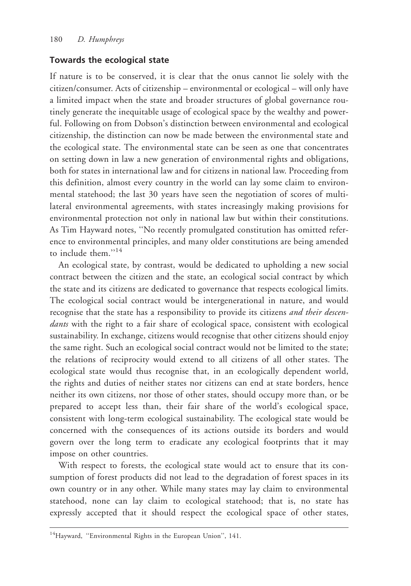#### Towards the ecological state

If nature is to be conserved, it is clear that the onus cannot lie solely with the citizen/consumer. Acts of citizenship – environmental or ecological – will only have a limited impact when the state and broader structures of global governance routinely generate the inequitable usage of ecological space by the wealthy and powerful. Following on from Dobson's distinction between environmental and ecological citizenship, the distinction can now be made between the environmental state and the ecological state. The environmental state can be seen as one that concentrates on setting down in law a new generation of environmental rights and obligations, both for states in international law and for citizens in national law. Proceeding from this definition, almost every country in the world can lay some claim to environmental statehood; the last 30 years have seen the negotiation of scores of multilateral environmental agreements, with states increasingly making provisions for environmental protection not only in national law but within their constitutions. As Tim Hayward notes, ''No recently promulgated constitution has omitted reference to environmental principles, and many older constitutions are being amended to include them."<sup>14</sup>

An ecological state, by contrast, would be dedicated to upholding a new social contract between the citizen and the state, an ecological social contract by which the state and its citizens are dedicated to governance that respects ecological limits. The ecological social contract would be intergenerational in nature, and would recognise that the state has a responsibility to provide its citizens and their descendants with the right to a fair share of ecological space, consistent with ecological sustainability. In exchange, citizens would recognise that other citizens should enjoy the same right. Such an ecological social contract would not be limited to the state; the relations of reciprocity would extend to all citizens of all other states. The ecological state would thus recognise that, in an ecologically dependent world, the rights and duties of neither states nor citizens can end at state borders, hence neither its own citizens, nor those of other states, should occupy more than, or be prepared to accept less than, their fair share of the world's ecological space, consistent with long-term ecological sustainability. The ecological state would be concerned with the consequences of its actions outside its borders and would govern over the long term to eradicate any ecological footprints that it may impose on other countries.

With respect to forests, the ecological state would act to ensure that its consumption of forest products did not lead to the degradation of forest spaces in its own country or in any other. While many states may lay claim to environmental statehood, none can lay claim to ecological statehood; that is, no state has expressly accepted that it should respect the ecological space of other states,

<sup>&</sup>lt;sup>14</sup>Hayward, "Environmental Rights in the European Union", 141.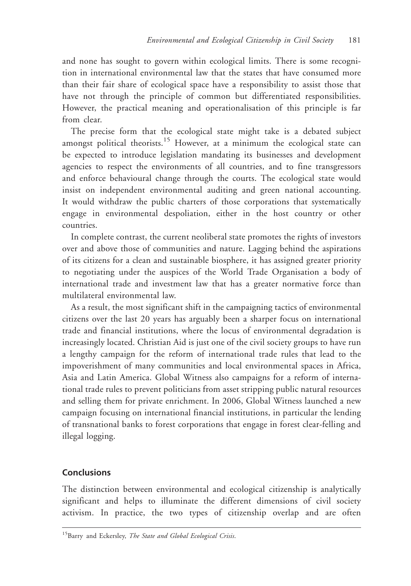and none has sought to govern within ecological limits. There is some recognition in international environmental law that the states that have consumed more than their fair share of ecological space have a responsibility to assist those that have not through the principle of common but differentiated responsibilities. However, the practical meaning and operationalisation of this principle is far from clear.

The precise form that the ecological state might take is a debated subject amongst political theorists.<sup>15</sup> However, at a minimum the ecological state can be expected to introduce legislation mandating its businesses and development agencies to respect the environments of all countries, and to fine transgressors and enforce behavioural change through the courts. The ecological state would insist on independent environmental auditing and green national accounting. It would withdraw the public charters of those corporations that systematically engage in environmental despoliation, either in the host country or other countries.

In complete contrast, the current neoliberal state promotes the rights of investors over and above those of communities and nature. Lagging behind the aspirations of its citizens for a clean and sustainable biosphere, it has assigned greater priority to negotiating under the auspices of the World Trade Organisation a body of international trade and investment law that has a greater normative force than multilateral environmental law.

As a result, the most significant shift in the campaigning tactics of environmental citizens over the last 20 years has arguably been a sharper focus on international trade and financial institutions, where the locus of environmental degradation is increasingly located. Christian Aid is just one of the civil society groups to have run a lengthy campaign for the reform of international trade rules that lead to the impoverishment of many communities and local environmental spaces in Africa, Asia and Latin America. Global Witness also campaigns for a reform of international trade rules to prevent politicians from asset stripping public natural resources and selling them for private enrichment. In 2006, Global Witness launched a new campaign focusing on international financial institutions, in particular the lending of transnational banks to forest corporations that engage in forest clear-felling and illegal logging.

#### **Conclusions**

The distinction between environmental and ecological citizenship is analytically significant and helps to illuminate the different dimensions of civil society activism. In practice, the two types of citizenship overlap and are often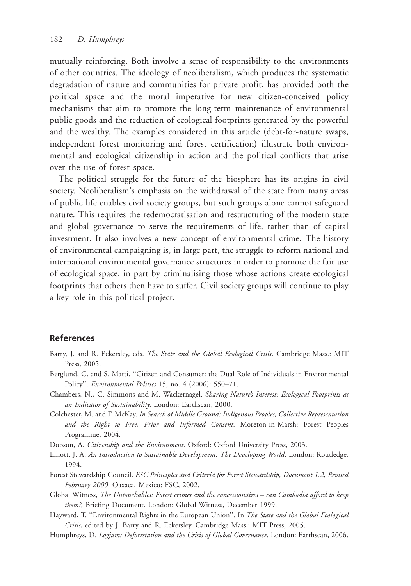mutually reinforcing. Both involve a sense of responsibility to the environments of other countries. The ideology of neoliberalism, which produces the systematic degradation of nature and communities for private profit, has provided both the political space and the moral imperative for new citizen-conceived policy mechanisms that aim to promote the long-term maintenance of environmental public goods and the reduction of ecological footprints generated by the powerful and the wealthy. The examples considered in this article (debt-for-nature swaps, independent forest monitoring and forest certification) illustrate both environmental and ecological citizenship in action and the political conflicts that arise over the use of forest space.

The political struggle for the future of the biosphere has its origins in civil society. Neoliberalism's emphasis on the withdrawal of the state from many areas of public life enables civil society groups, but such groups alone cannot safeguard nature. This requires the redemocratisation and restructuring of the modern state and global governance to serve the requirements of life, rather than of capital investment. It also involves a new concept of environmental crime. The history of environmental campaigning is, in large part, the struggle to reform national and international environmental governance structures in order to promote the fair use of ecological space, in part by criminalising those whose actions create ecological footprints that others then have to suffer. Civil society groups will continue to play a key role in this political project.

#### References

- Barry, J. and R. Eckersley, eds. The State and the Global Ecological Crisis. Cambridge Mass.: MIT Press, 2005.
- Berglund, C. and S. Matti. ''Citizen and Consumer: the Dual Role of Individuals in Environmental Policy''. Environmental Politics 15, no. 4 (2006): 550–71.
- Chambers, N., C. Simmons and M. Wackernagel. Sharing Nature's Interest: Ecological Footprints as an Indicator of Sustainability. London: Earthscan, 2000.
- Colchester, M. and F. McKay. In Search of Middle Ground: Indigenous Peoples, Collective Representation and the Right to Free, Prior and Informed Consent. Moreton-in-Marsh: Forest Peoples Programme, 2004.

Dobson, A. Citizenship and the Environment. Oxford: Oxford University Press, 2003.

- Elliott, J. A. An Introduction to Sustainable Development: The Developing World. London: Routledge, 1994.
- Forest Stewardship Council. FSC Principles and Criteria for Forest Stewardship, Document 1.2, Revised February 2000. Oaxaca, Mexico: FSC, 2002.
- Global Witness, The Untouchables: Forest crimes and the concessionaires can Cambodia afford to keep them?, Briefing Document. London: Global Witness, December 1999.
- Hayward, T. "Environmental Rights in the European Union". In The State and the Global Ecological Crisis, edited by J. Barry and R. Eckersley. Cambridge Mass.: MIT Press, 2005.
- Humphreys, D. Logjam: Deforestation and the Crisis of Global Governance. London: Earthscan, 2006.